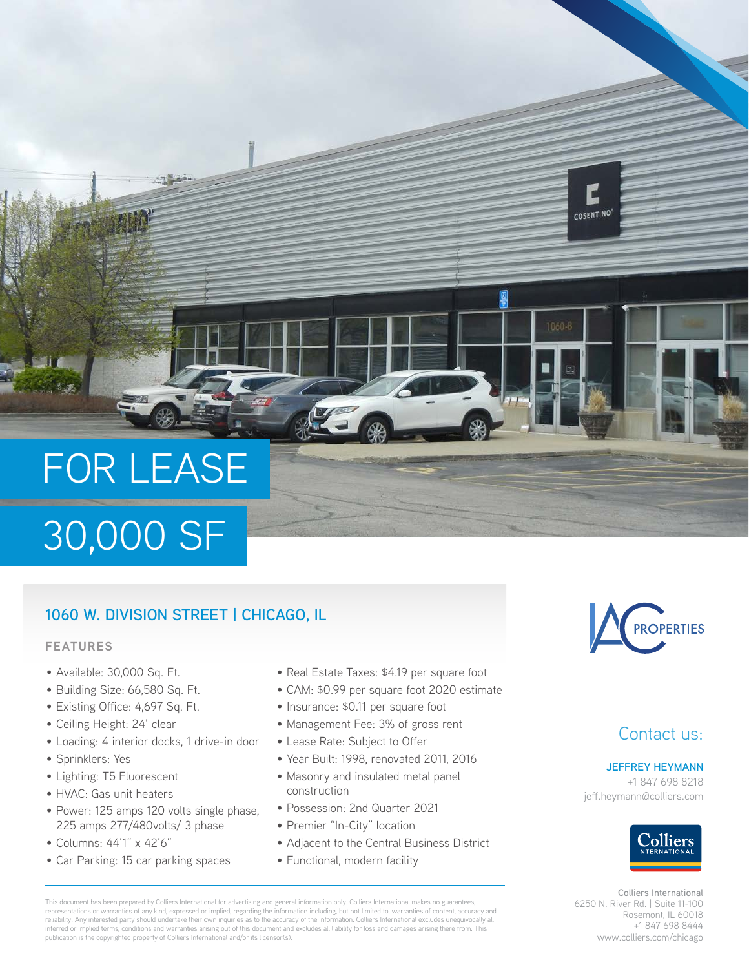# FOR LEASE

## 30,000 SF

#### **1060 W. DIVISION STREET | CHICAGO, IL**

#### **FEATURES**

- Available: 30,000 Sq. Ft.
- Building Size: 66,580 Sq. Ft.
- Existing Office: 4,697 Sq. Ft.
- Ceiling Height: 24' clear
- Loading: 4 interior docks, 1 drive-in door
- Sprinklers: Yes
- Lighting: T5 Fluorescent
- HVAC: Gas unit heaters
- Power: 125 amps 120 volts single phase, 225 amps 277/480volts/ 3 phase
- Columns: 44'1" x 42'6"
- Car Parking: 15 car parking spaces
- Real Estate Taxes: \$4.19 per square foot
- CAM: \$0.99 per square foot 2020 estimate
- Insurance: \$0.11 per square foot
- Management Fee: 3% of gross rent
- Lease Rate: Subject to Offer
- Year Built: 1998, renovated 2011, 2016
- Masonry and insulated metal panel construction
- Possession: 2nd Quarter 2021
- Premier "In-City" location
- Adjacent to the Central Business District
- Functional, modern facility



**COSENTINO** 

#### Contact us:

#### **JEFFREY HEYMANN**

+1 847 698 8218 jeff.heymann@colliers.com



**Colliers International** 6250 N. River Rd. | Suite 11-100 Rosemont, IL 60018 +1 847 698 8444 www.colliers.com/chicago

This document has been prepared by Colliers International for advertising and general information only. Colliers International makes no guarantees, representations or warranties of any kind, expressed or implied, regarding the information including, but not limited to, warranties of content, accuracy and reliability. Any interested party should undertake their own inquiries as to the accuracy of the information. Colliers International excludes unequivocally all inferred or implied terms, conditions and warranties arising out of this document and excludes all liability for loss and damages arising there from. This publication is the copyrighted property of Colliers International and/or its licensor(s).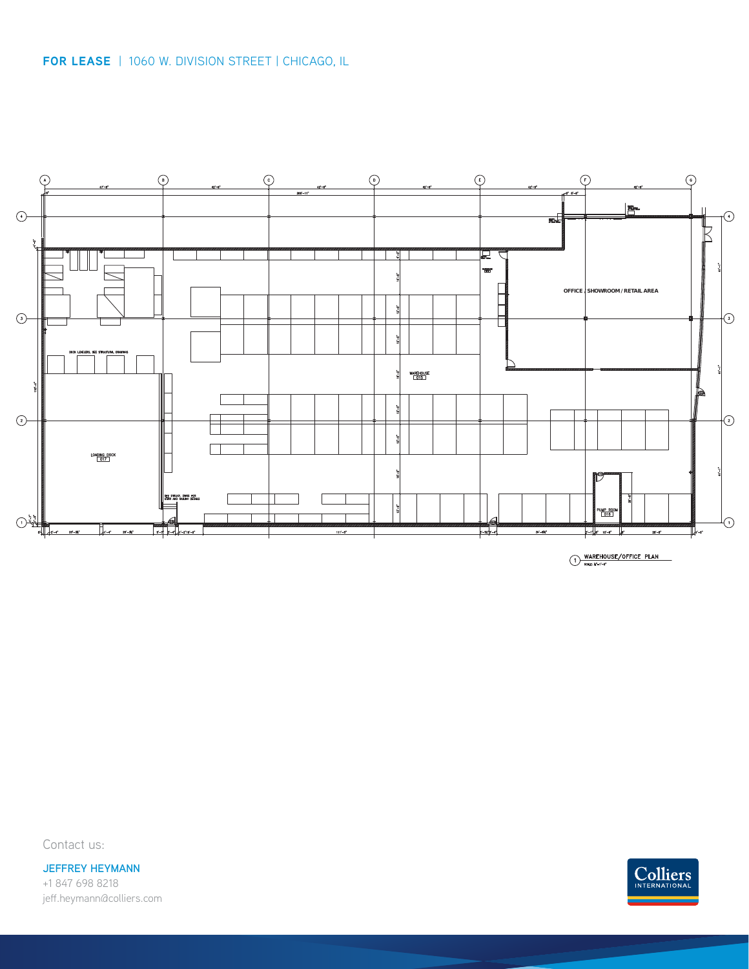

Contact us:

**JEFFREY HEYMANN** +1 847 698 8218 jeff.heymann@colliers.com

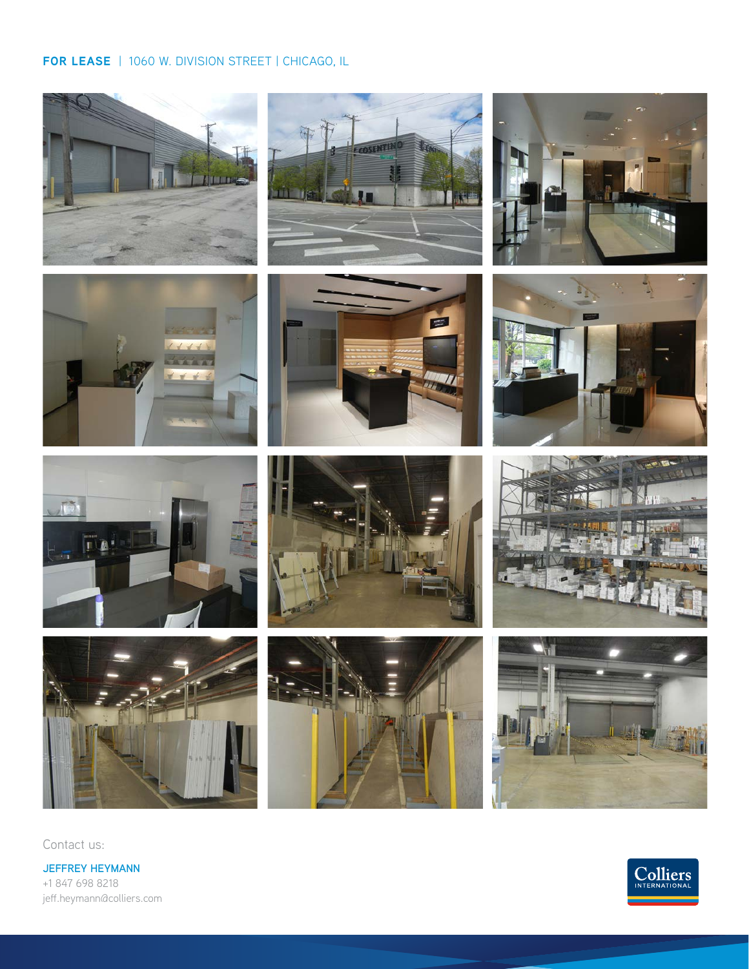#### **FOR LEASE** | 1060 W. DIVISION STREET | CHICAGO, IL













Contact us:

**JEFFREY HEYMANN** +1 847 698 8218 jeff.heymann@colliers.com